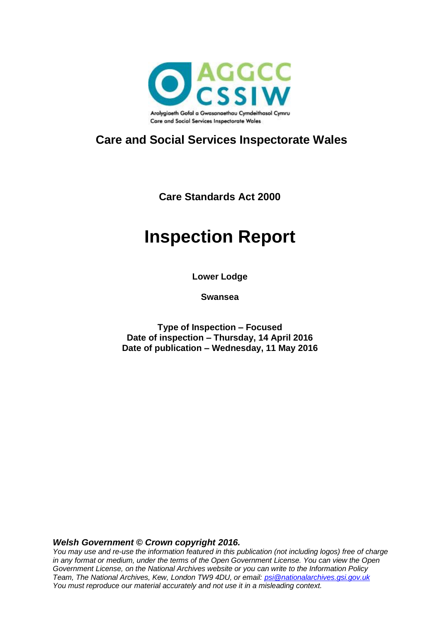

### **Care and Social Services Inspectorate Wales**

**Care Standards Act 2000**

# **Inspection Report**

**Lower Lodge**

**Swansea**

**Type of Inspection – Focused Date of inspection – Thursday, 14 April 2016 Date of publication – Wednesday, 11 May 2016**

#### *Welsh Government © Crown copyright 2016.*

*You may use and re-use the information featured in this publication (not including logos) free of charge in any format or medium, under the terms of the Open Government License. You can view the Open Government License, on the National Archives website or you can write to the Information Policy Team, The National Archives, Kew, London TW9 4DU, or email: [psi@nationalarchives.gsi.gov.uk](mailto:psi@nationalarchives.gsi.gov.uk) You must reproduce our material accurately and not use it in a misleading context.*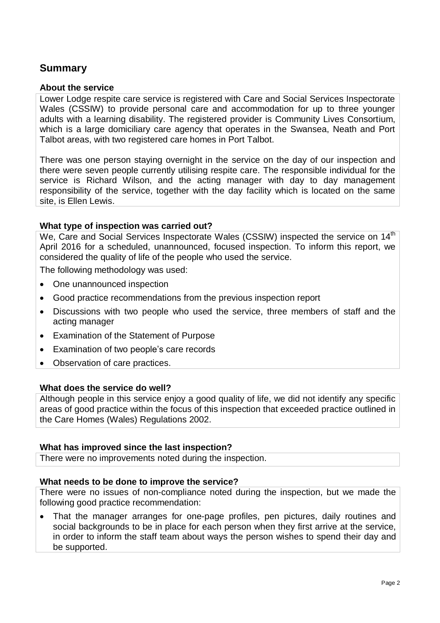### **Summary**

#### **About the service**

Lower Lodge respite care service is registered with Care and Social Services Inspectorate Wales (CSSIW) to provide personal care and accommodation for up to three younger adults with a learning disability. The registered provider is Community Lives Consortium, which is a large domiciliary care agency that operates in the Swansea, Neath and Port Talbot areas, with two registered care homes in Port Talbot.

There was one person staying overnight in the service on the day of our inspection and there were seven people currently utilising respite care. The responsible individual for the service is Richard Wilson, and the acting manager with day to day management responsibility of the service, together with the day facility which is located on the same site, is Ellen Lewis.

#### **What type of inspection was carried out?**

We, Care and Social Services Inspectorate Wales (CSSIW) inspected the service on 14<sup>th</sup> April 2016 for a scheduled, unannounced, focused inspection. To inform this report, we considered the quality of life of the people who used the service.

The following methodology was used:

- One unannounced inspection
- Good practice recommendations from the previous inspection report
- Discussions with two people who used the service, three members of staff and the acting manager
- Examination of the Statement of Purpose
- Examination of two people's care records
- Observation of care practices.

#### **What does the service do well?**

Although people in this service enjoy a good quality of life, we did not identify any specific areas of good practice within the focus of this inspection that exceeded practice outlined in the Care Homes (Wales) Regulations 2002.

#### **What has improved since the last inspection?**

There were no improvements noted during the inspection.

#### **What needs to be done to improve the service?**

There were no issues of non-compliance noted during the inspection, but we made the following good practice recommendation:

 That the manager arranges for one-page profiles, pen pictures, daily routines and social backgrounds to be in place for each person when they first arrive at the service, in order to inform the staff team about ways the person wishes to spend their day and be supported.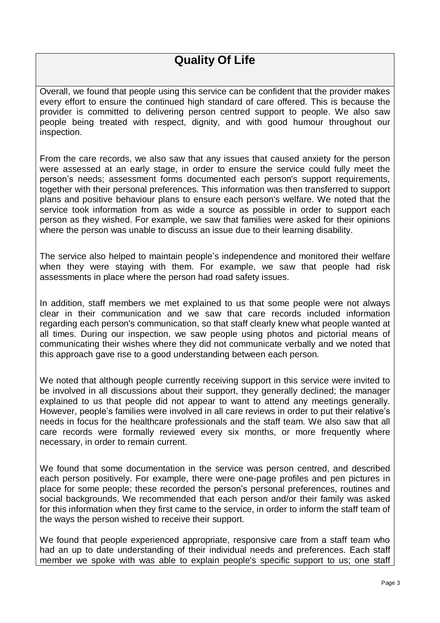### **Quality Of Life**

Overall, we found that people using this service can be confident that the provider makes every effort to ensure the continued high standard of care offered. This is because the provider is committed to delivering person centred support to people. We also saw people being treated with respect, dignity, and with good humour throughout our inspection.

From the care records, we also saw that any issues that caused anxiety for the person were assessed at an early stage, in order to ensure the service could fully meet the person's needs; assessment forms documented each person's support requirements, together with their personal preferences. This information was then transferred to support plans and positive behaviour plans to ensure each person's welfare. We noted that the service took information from as wide a source as possible in order to support each person as they wished. For example, we saw that families were asked for their opinions where the person was unable to discuss an issue due to their learning disability.

The service also helped to maintain people's independence and monitored their welfare when they were staying with them. For example, we saw that people had risk assessments in place where the person had road safety issues.

In addition, staff members we met explained to us that some people were not always clear in their communication and we saw that care records included information regarding each person's communication, so that staff clearly knew what people wanted at all times. During our inspection, we saw people using photos and pictorial means of communicating their wishes where they did not communicate verbally and we noted that this approach gave rise to a good understanding between each person.

We noted that although people currently receiving support in this service were invited to be involved in all discussions about their support, they generally declined; the manager explained to us that people did not appear to want to attend any meetings generally. However, people's families were involved in all care reviews in order to put their relative's needs in focus for the healthcare professionals and the staff team. We also saw that all care records were formally reviewed every six months, or more frequently where necessary, in order to remain current.

We found that some documentation in the service was person centred, and described each person positively. For example, there were one-page profiles and pen pictures in place for some people; these recorded the person's personal preferences, routines and social backgrounds. We recommended that each person and/or their family was asked for this information when they first came to the service, in order to inform the staff team of the ways the person wished to receive their support.

We found that people experienced appropriate, responsive care from a staff team who had an up to date understanding of their individual needs and preferences. Each staff member we spoke with was able to explain people's specific support to us; one staff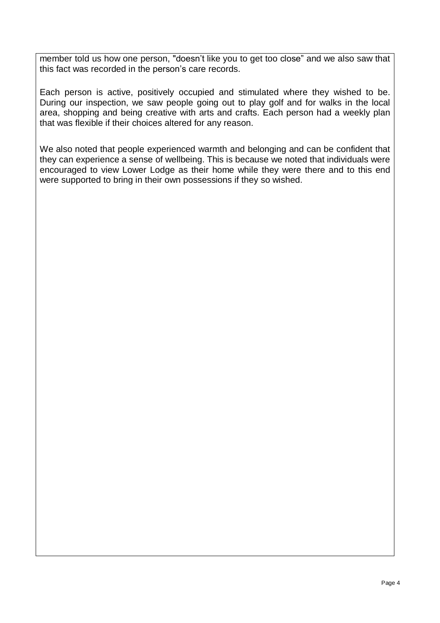member told us how one person, "doesn't like you to get too close" and we also saw that this fact was recorded in the person's care records.

Each person is active, positively occupied and stimulated where they wished to be. During our inspection, we saw people going out to play golf and for walks in the local area, shopping and being creative with arts and crafts. Each person had a weekly plan that was flexible if their choices altered for any reason.

We also noted that people experienced warmth and belonging and can be confident that they can experience a sense of wellbeing. This is because we noted that individuals were encouraged to view Lower Lodge as their home while they were there and to this end were supported to bring in their own possessions if they so wished.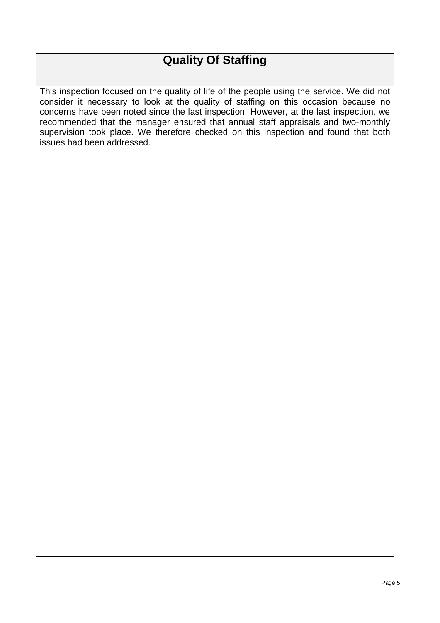# **Quality Of Staffing**

This inspection focused on the quality of life of the people using the service. We did not consider it necessary to look at the quality of staffing on this occasion because no concerns have been noted since the last inspection. However, at the last inspection, we recommended that the manager ensured that annual staff appraisals and two-monthly supervision took place. We therefore checked on this inspection and found that both issues had been addressed.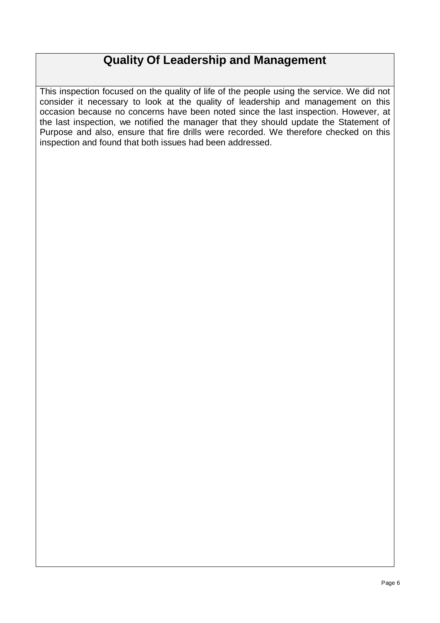### **Quality Of Leadership and Management**

This inspection focused on the quality of life of the people using the service. We did not consider it necessary to look at the quality of leadership and management on this occasion because no concerns have been noted since the last inspection. However, at the last inspection, we notified the manager that they should update the Statement of Purpose and also, ensure that fire drills were recorded. We therefore checked on this inspection and found that both issues had been addressed.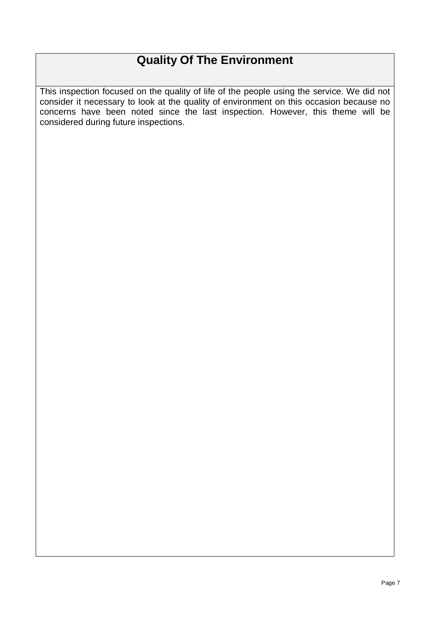# **Quality Of The Environment**

This inspection focused on the quality of life of the people using the service. We did not consider it necessary to look at the quality of environment on this occasion because no concerns have been noted since the last inspection. However, this theme will be considered during future inspections.